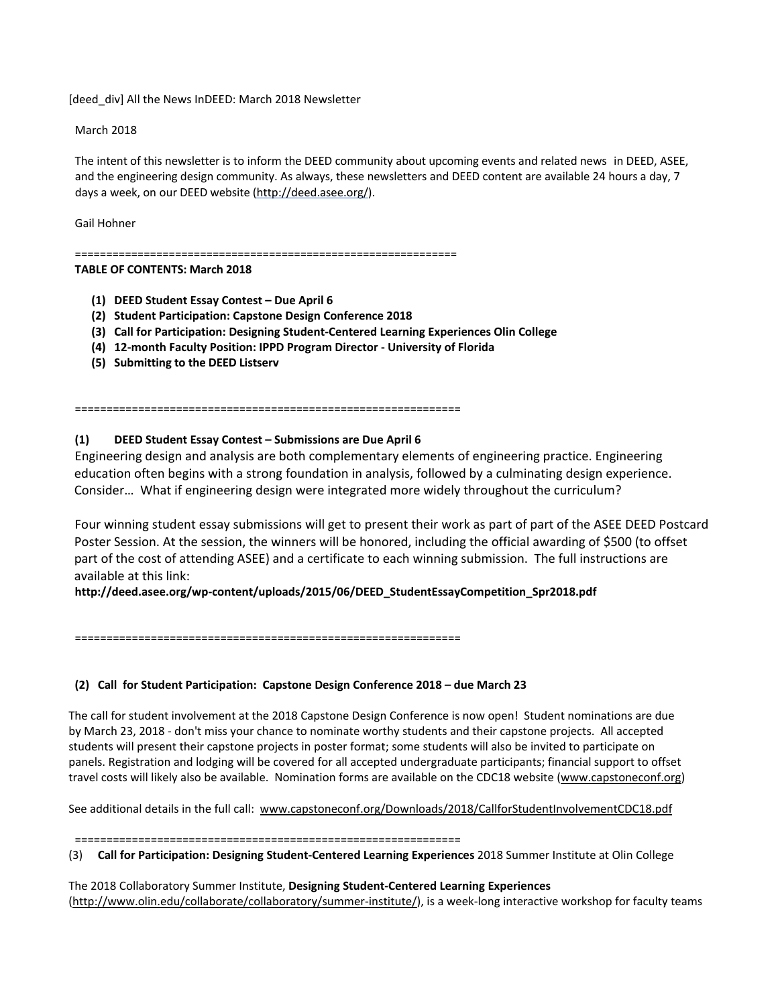[deed\_div] All the News InDEED: March 2018 Newsletter

March 2018

The intent of this newsletter is to inform the DEED community about upcoming events and related news in DEED, ASEE, and the engineering design community. As always, these newsletters and DEED content are available 24 hours a day, 7 days a week, on our DEED website [\(http://deed.asee.org/\)](http://deed.asee.org/).

Gail Hohner

=============================================================

#### **TABLE OF CONTENTS: March 2018**

- **(1) DEED Student Essay Contest – Due April 6**
- **(2) Student Participation: Capstone Design Conference 2018**
- **(3) Call for Participation: Designing Student-Centered Learning Experiences Olin College**
- **(4) 12-month Faculty Position: IPPD Program Director - University of Florida**
- **(5) Submitting to the DEED Listserv**

=============================================================

# **(1) DEED Student Essay Contest – Submissions are Due April 6**

Engineering design and analysis are both complementary elements of engineering practice. Engineering education often begins with a strong foundation in analysis, followed by a culminating design experience. Consider… What if engineering design were integrated more widely throughout the curriculum?

Four winning student essay submissions will get to present their work as part of part of the ASEE DEED Postcard Poster Session. At the session, the winners will be honored, including the official awarding of \$500 (to offset part of the cost of attending ASEE) and a certificate to each winning submission. The full instructions are available at this link:

**http://deed.asee.org/wp-content/uploads/2015/06/DEED\_StudentEssayCompetition\_Spr2018.pdf**

=============================================================

## **(2) Call for Student Participation: Capstone Design Conference 2018 – due March 23**

The call for student involvement at the 2018 Capstone Design Conference is now open! Student nominations are due by March 23, 2018 - don't miss your chance to nominate worthy students and their capstone projects. All accepted students will present their capstone projects in poster format; some students will also be invited to participate on panels. Registration and lodging will be covered for all accepted undergraduate participants; financial support to offset travel costs will likely also be available. Nomination forms are available on the CDC18 website [\(www.capstoneconf.org\)](http://www.capstoneconf.org/)

See additional details in the full call: [www.capstoneconf.org/Downloads/2018/CallforStudentInvolvementCDC18.pdf](http://www.capstoneconf.org/Downloads/2018/CallforStudentInvolvementCDC18.pdf)

=============================================================

(3) **Call for Participation: Designing Student-Centered Learning Experiences** 2018 Summer Institute at Olin College

The 2018 Collaboratory Summer Institute, **Designing Student-Centered Learning Experiences**  [\(http://www.olin.edu/collaborate/collaboratory/summer-institute/\)](http://www.olin.edu/collaborate/collaboratory/summer-institute/), is a week-long interactive workshop for faculty teams